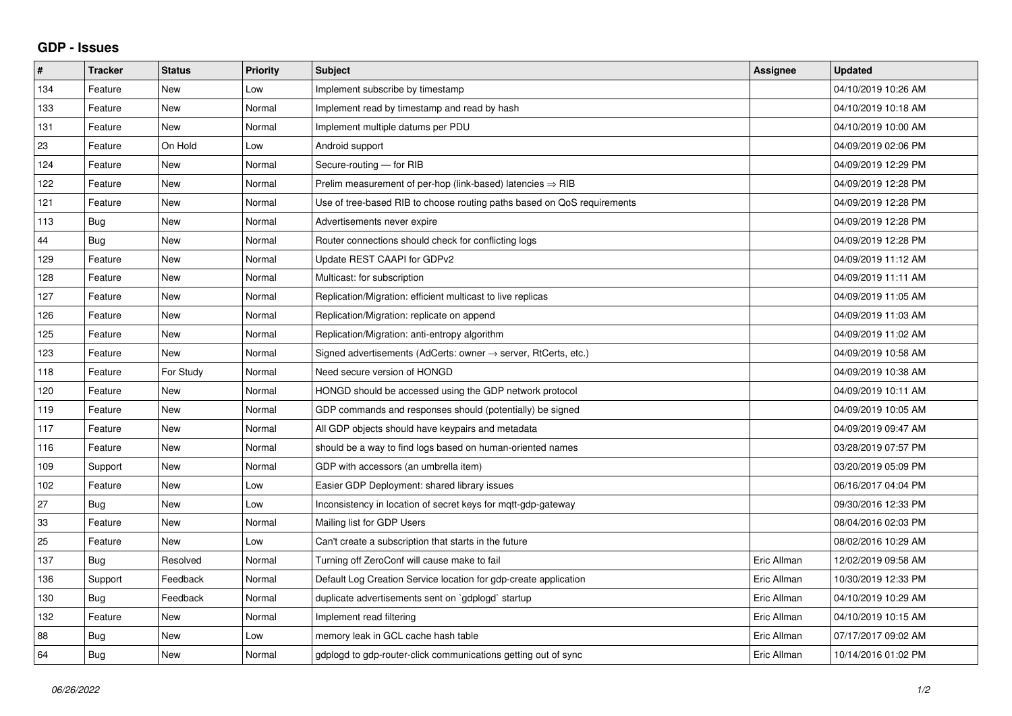## **GDP - Issues**

| #   | <b>Tracker</b> | <b>Status</b> | Priority | <b>Subject</b>                                                          | <b>Assignee</b> | <b>Updated</b>      |
|-----|----------------|---------------|----------|-------------------------------------------------------------------------|-----------------|---------------------|
| 134 | Feature        | <b>New</b>    | Low      | Implement subscribe by timestamp                                        |                 | 04/10/2019 10:26 AM |
| 133 | Feature        | <b>New</b>    | Normal   | Implement read by timestamp and read by hash                            |                 | 04/10/2019 10:18 AM |
| 131 | Feature        | <b>New</b>    | Normal   | Implement multiple datums per PDU                                       |                 | 04/10/2019 10:00 AM |
| 23  | Feature        | On Hold       | Low      | Android support                                                         |                 | 04/09/2019 02:06 PM |
| 124 | Feature        | <b>New</b>    | Normal   | Secure-routing - for RIB                                                |                 | 04/09/2019 12:29 PM |
| 122 | Feature        | <b>New</b>    | Normal   | Prelim measurement of per-hop (link-based) latencies $\Rightarrow$ RIB  |                 | 04/09/2019 12:28 PM |
| 121 | Feature        | <b>New</b>    | Normal   | Use of tree-based RIB to choose routing paths based on QoS requirements |                 | 04/09/2019 12:28 PM |
| 113 | Bug            | <b>New</b>    | Normal   | Advertisements never expire                                             |                 | 04/09/2019 12:28 PM |
| 44  | Bug            | <b>New</b>    | Normal   | Router connections should check for conflicting logs                    |                 | 04/09/2019 12:28 PM |
| 129 | Feature        | <b>New</b>    | Normal   | Update REST CAAPI for GDPv2                                             |                 | 04/09/2019 11:12 AM |
| 128 | Feature        | <b>New</b>    | Normal   | Multicast: for subscription                                             |                 | 04/09/2019 11:11 AM |
| 127 | Feature        | <b>New</b>    | Normal   | Replication/Migration: efficient multicast to live replicas             |                 | 04/09/2019 11:05 AM |
| 126 | Feature        | <b>New</b>    | Normal   | Replication/Migration: replicate on append                              |                 | 04/09/2019 11:03 AM |
| 125 | Feature        | <b>New</b>    | Normal   | Replication/Migration: anti-entropy algorithm                           |                 | 04/09/2019 11:02 AM |
| 123 | Feature        | New           | Normal   | Signed advertisements (AdCerts: owner → server, RtCerts, etc.)          |                 | 04/09/2019 10:58 AM |
| 118 | Feature        | For Study     | Normal   | Need secure version of HONGD                                            |                 | 04/09/2019 10:38 AM |
| 120 | Feature        | <b>New</b>    | Normal   | HONGD should be accessed using the GDP network protocol                 |                 | 04/09/2019 10:11 AM |
| 119 | Feature        | New           | Normal   | GDP commands and responses should (potentially) be signed               |                 | 04/09/2019 10:05 AM |
| 117 | Feature        | <b>New</b>    | Normal   | All GDP objects should have keypairs and metadata                       |                 | 04/09/2019 09:47 AM |
| 116 | Feature        | <b>New</b>    | Normal   | should be a way to find logs based on human-oriented names              |                 | 03/28/2019 07:57 PM |
| 109 | Support        | New           | Normal   | GDP with accessors (an umbrella item)                                   |                 | 03/20/2019 05:09 PM |
| 102 | Feature        | <b>New</b>    | Low      | Easier GDP Deployment: shared library issues                            |                 | 06/16/2017 04:04 PM |
| 27  | <b>Bug</b>     | New           | Low      | Inconsistency in location of secret keys for mott-gdp-gateway           |                 | 09/30/2016 12:33 PM |
| 33  | Feature        | New           | Normal   | Mailing list for GDP Users                                              |                 | 08/04/2016 02:03 PM |
| 25  | Feature        | New           | Low      | Can't create a subscription that starts in the future                   |                 | 08/02/2016 10:29 AM |
| 137 | Bug            | Resolved      | Normal   | Turning off ZeroConf will cause make to fail                            | Eric Allman     | 12/02/2019 09:58 AM |
| 136 | Support        | Feedback      | Normal   | Default Log Creation Service location for gdp-create application        | Eric Allman     | 10/30/2019 12:33 PM |
| 130 | Bug            | Feedback      | Normal   | duplicate advertisements sent on `gdplogd` startup                      | Eric Allman     | 04/10/2019 10:29 AM |
| 132 | Feature        | <b>New</b>    | Normal   | Implement read filtering                                                | Eric Allman     | 04/10/2019 10:15 AM |
| 88  | Bug            | <b>New</b>    | Low      | memory leak in GCL cache hash table                                     | Eric Allman     | 07/17/2017 09:02 AM |
| 64  | Bug            | New           | Normal   | gdplogd to gdp-router-click communications getting out of sync          | Eric Allman     | 10/14/2016 01:02 PM |